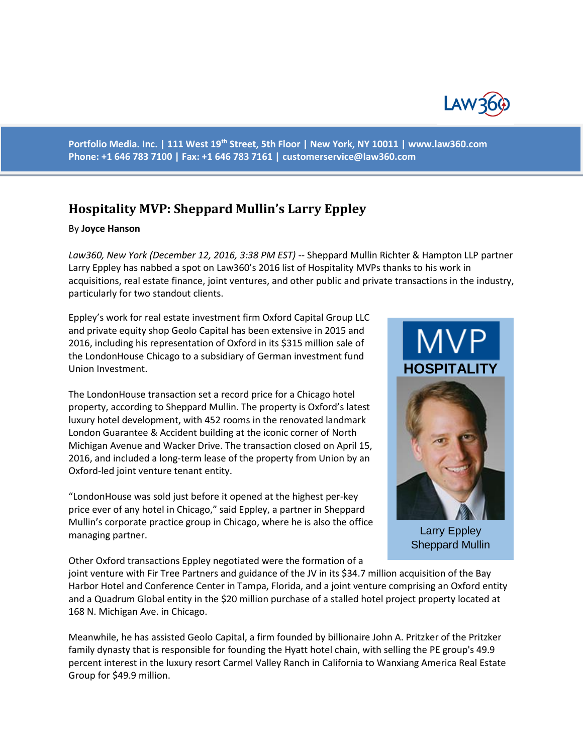

**Portfolio Media. Inc. | 111 West 19th Street, 5th Floor | New York, NY 10011 | www.law360.com Phone: +1 646 783 7100 | Fax: +1 646 783 7161 | [customerservice@law360.com](mailto:customerservice@law360.com)**

## **Hospitality MVP: Sheppard Mullin's Larry Eppley**

## By **Joyce Hanson**

*Law360, New York (December 12, 2016, 3:38 PM EST)* -- Sheppard Mullin Richter & Hampton LLP partner Larry Eppley has nabbed a spot on Law360's 2016 list of Hospitality MVPs thanks to his work in acquisitions, real estate finance, joint ventures, and other public and private transactions in the industry, particularly for two standout clients.

Eppley's work for real estate investment firm Oxford Capital Group LLC and private equity shop Geolo Capital has been extensive in 2015 and 2016, including his representation of Oxford in its \$315 million sale of the LondonHouse Chicago to a subsidiary of German investment fund Union Investment.

The LondonHouse transaction set a record price for a Chicago hotel property, according to Sheppard Mullin. The property is Oxford's latest luxury hotel development, with 452 rooms in the renovated landmark London Guarantee & Accident building at the iconic corner of North Michigan Avenue and Wacker Drive. The transaction closed on April 15, 2016, and included a long-term lease of the property from Union by an Oxford-led joint venture tenant entity.

"LondonHouse was sold just before it opened at the highest per-key price ever of any hotel in Chicago," said Eppley, a partner in Sheppard Mullin's corporate practice group in Chicago, where he is also the office managing partner.

Other Oxford transactions Eppley negotiated were the formation of a



Larry Eppley Sheppard Mullin

joint venture with Fir Tree Partners and guidance of the JV in its \$34.7 million acquisition of the Bay Harbor Hotel and Conference Center in Tampa, Florida, and a joint venture comprising an Oxford entity and a Quadrum Global entity in the \$20 million purchase of a stalled hotel project property located at 168 N. Michigan Ave. in Chicago.

Meanwhile, he has assisted Geolo Capital, a firm founded by billionaire John A. Pritzker of the Pritzker family dynasty that is responsible for founding the Hyatt hotel chain, with selling the PE group's 49.9 percent interest in the luxury resort Carmel Valley Ranch in California to Wanxiang America Real Estate Group for \$49.9 million.